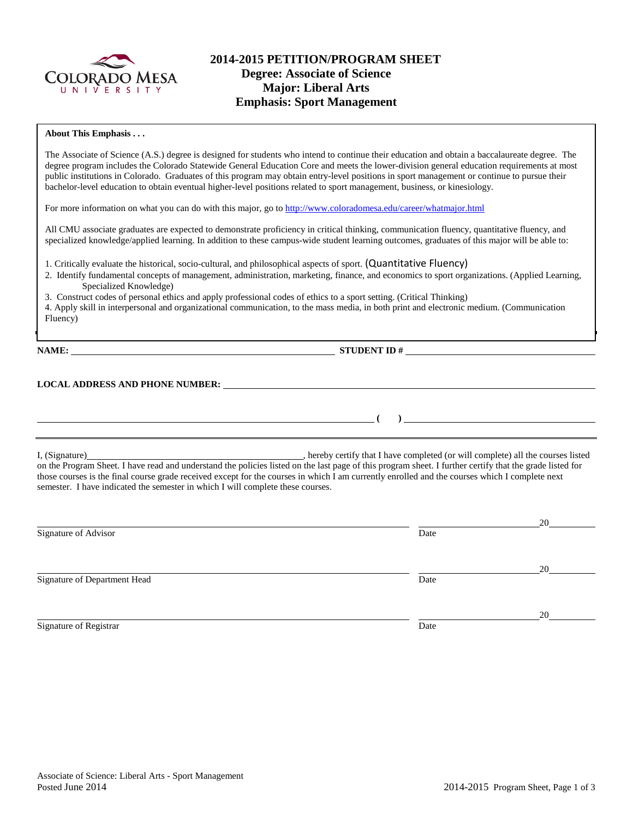

## **2014-2015 PETITION/PROGRAM SHEET Degree: Associate of Science Major: Liberal Arts Emphasis: Sport Management**

### **About This Emphasis . . .**

The Associate of Science (A.S.) degree is designed for students who intend to continue their education and obtain a baccalaureate degree. The degree program includes the Colorado Statewide General Education Core and meets the lower-division general education requirements at most public institutions in Colorado. Graduates of this program may obtain entry-level positions in sport management or continue to pursue their bachelor-level education to obtain eventual higher-level positions related to sport management, business, or kinesiology.

For more information on what you can do with this major, go to<http://www.coloradomesa.edu/career/whatmajor.html>

All CMU associate graduates are expected to demonstrate proficiency in critical thinking, communication fluency, quantitative fluency, and specialized knowledge/applied learning. In addition to these campus-wide student learning outcomes, graduates of this major will be able to:

1. Critically evaluate the historical, socio-cultural, and philosophical aspects of sport. (Quantitative Fluency)

2. Identify fundamental concepts of management, administration, marketing, finance, and economics to sport organizations. (Applied Learning, Specialized Knowledge)

3. Construct codes of personal ethics and apply professional codes of ethics to a sport setting. (Critical Thinking)

4. Apply skill in interpersonal and organizational communication, to the mass media, in both print and electronic medium. (Communication Fluency)

**NAME: STUDENT ID #**

**( )** 

#### **LOCAL ADDRESS AND PHONE NUMBER:**

I, (Signature) , hereby certify that I have completed (or will complete) all the courses listed on the Program Sheet. I have read and understand the policies listed on the last page of this program sheet. I further certify that the grade listed for those courses is the final course grade received except for the courses in which I am currently enrolled and the courses which I complete next semester. I have indicated the semester in which I will complete these courses.

|                              |      | 20 |
|------------------------------|------|----|
| Signature of Advisor         | Date |    |
|                              |      | 20 |
| Signature of Department Head | Date |    |
|                              |      | 20 |
| Signature of Registrar       | Date |    |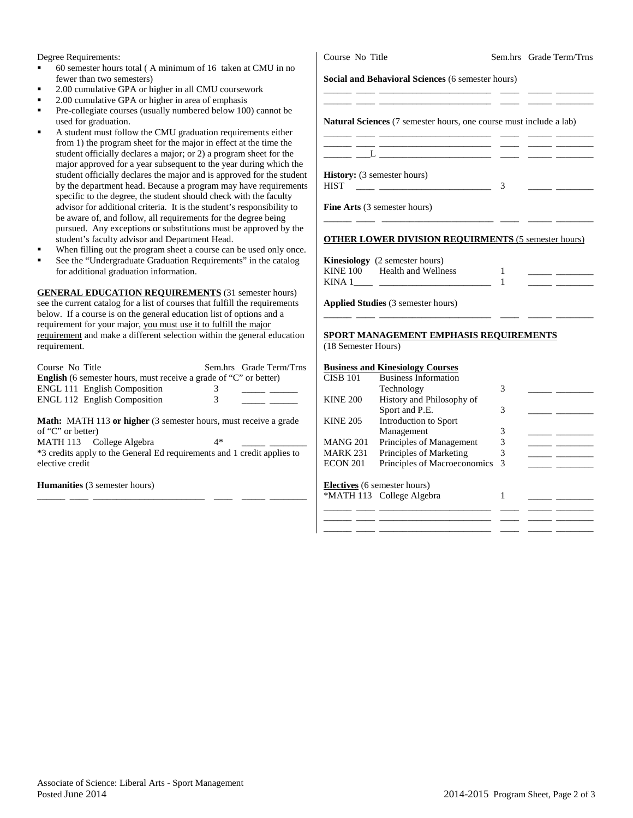Degree Requirements:

- 60 semester hours total ( A minimum of 16 taken at CMU in no fewer than two semesters)
- 2.00 cumulative GPA or higher in all CMU coursework
- 2.00 cumulative GPA or higher in area of emphasis
- Pre-collegiate courses (usually numbered below 100) cannot be used for graduation.
- A student must follow the CMU graduation requirements either from 1) the program sheet for the major in effect at the time the student officially declares a major; or 2) a program sheet for the major approved for a year subsequent to the year during which th student officially declares the major and is approved for the stude by the department head. Because a program may have requirements specific to the degree, the student should check with the faculty advisor for additional criteria. It is the student's responsibility to be aware of, and follow, all requirements for the degree being pursued. Any exceptions or substitutions must be approved by the student's faculty advisor and Department Head.
- When filling out the program sheet a course can be used only one
- See the "Undergraduate Graduation Requirements" in the catalog for additional graduation information.

**GENERAL EDUCATION REQUIREMENTS** (31 semester hours) see the current catalog for a list of courses that fulfill the requirements below. If a course is on the general education list of options and a requirement for your major, you must use it to fulfill the major requirement and make a different selection within the general education requirement.

| Course No Title                                                          |   | Sem.hrs Grade Term/Trns |  |
|--------------------------------------------------------------------------|---|-------------------------|--|
| <b>English</b> (6 semester hours, must receive a grade of "C" or better) |   |                         |  |
| <b>ENGL 111 English Composition</b>                                      |   |                         |  |
| <b>ENGL 112 English Composition</b>                                      | 3 |                         |  |
|                                                                          |   |                         |  |

**Math:** MATH 113 **or higher** (3 semester hours, must receive a grade of "C" or better)

MATH 113 College Algebra 4\* \*3 credits apply to the General Ed requirements and 1 credit applies to elective credit

\_\_\_\_\_\_ \_\_\_\_ \_\_\_\_\_\_\_\_\_\_\_\_\_\_\_\_\_\_\_\_\_\_\_\_ \_\_\_\_ \_\_\_\_\_ \_\_\_\_\_\_\_\_

**Humanities** (3 semester hours)

| Course No Title                                                                 |   | Sem.hrs Grade Term/Trns |
|---------------------------------------------------------------------------------|---|-------------------------|
| <b>Social and Behavioral Sciences (6 semester hours)</b>                        |   |                         |
| <b>Natural Sciences</b> (7 semester hours, one course must include a lab)       |   |                         |
|                                                                                 |   |                         |
| <b>History:</b> (3 semester hours)<br><b>HIST</b>                               | 3 |                         |
| <b>Fine Arts</b> (3 semester hours)                                             |   |                         |
| <b>OTHER LOWER DIVISION REQUIRMENTS (5 semester hours)</b>                      |   |                         |
| <b>Kinesiology</b> (2 semester hours)<br>KINE 100 Health and Wellness<br>KINA 1 |   |                         |

**Applied Studies** (3 semester hours)

# **SPORT MANAGEMENT EMPHASIS REQUIREMENTS**

\_\_\_\_\_\_ \_\_\_\_ \_\_\_\_\_\_\_\_\_\_\_\_\_\_\_\_\_\_\_\_\_\_\_\_ \_\_\_\_ \_\_\_\_\_ \_\_\_\_\_\_\_\_

(18 Semester Hours)

### **Business and Kinesiology Courses**

| <b>CISB 101</b> | <b>Business Information</b>         |               |  |
|-----------------|-------------------------------------|---------------|--|
|                 | Technology                          | 3             |  |
| <b>KINE 200</b> | History and Philosophy of           |               |  |
|                 | Sport and P.E.                      | 3             |  |
| <b>KINE 205</b> | Introduction to Sport               |               |  |
|                 | Management                          | 3             |  |
| <b>MANG 201</b> | Principles of Management            |               |  |
| <b>MARK 231</b> | Principles of Marketing             | 3             |  |
| <b>ECON 201</b> | Principles of Macroeconomics        | $\mathcal{R}$ |  |
|                 | <b>Electives</b> (6 semester hours) |               |  |
|                 | *MATH 113 College Algebra           |               |  |
|                 |                                     |               |  |
|                 |                                     |               |  |
|                 |                                     |               |  |